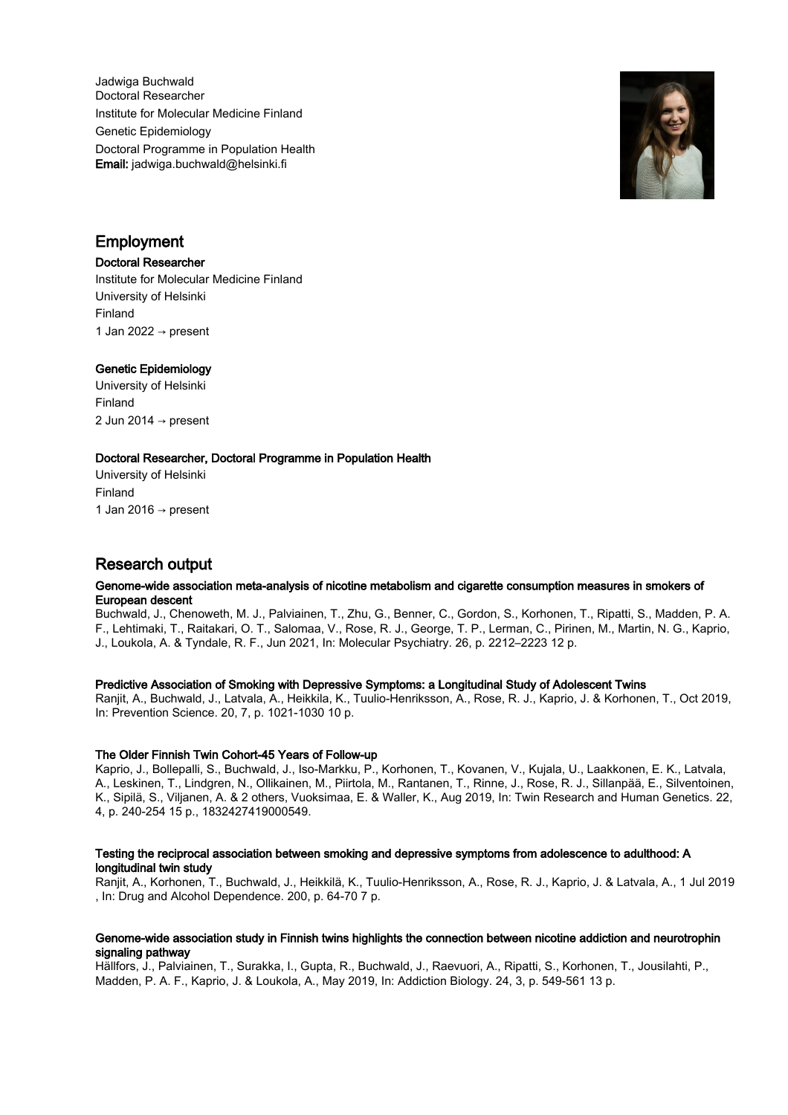Jadwiga Buchwald Doctoral Researcher Institute for Molecular Medicine Finland Genetic Epidemiology Doctoral Programme in Population Health Email: jadwiga.buchwald@helsinki.fi



## Employment

### Doctoral Researcher

Institute for Molecular Medicine Finland University of Helsinki Finland 1 Jan 2022  $\rightarrow$  present

## Genetic Epidemiology

University of Helsinki Finland 2 Jun 2014 → present

## Doctoral Researcher, Doctoral Programme in Population Health

University of Helsinki Finland 1 Jan 2016  $\rightarrow$  present

# Research output

### Genome-wide association meta-analysis of nicotine metabolism and cigarette consumption measures in smokers of European descent

Buchwald, J., Chenoweth, M. J., Palviainen, T., Zhu, G., Benner, C., Gordon, S., Korhonen, T., Ripatti, S., Madden, P. A. F., Lehtimaki, T., Raitakari, O. T., Salomaa, V., Rose, R. J., George, T. P., Lerman, C., Pirinen, M., Martin, N. G., Kaprio, J., Loukola, A. & Tyndale, R. F., Jun 2021, In: Molecular Psychiatry. 26, p. 2212–2223 12 p.

## Predictive Association of Smoking with Depressive Symptoms: a Longitudinal Study of Adolescent Twins

Ranjit, A., Buchwald, J., Latvala, A., Heikkila, K., Tuulio-Henriksson, A., Rose, R. J., Kaprio, J. & Korhonen, T., Oct 2019, In: Prevention Science. 20, 7, p. 1021-1030 10 p.

## The Older Finnish Twin Cohort-45 Years of Follow-up

Kaprio, J., Bollepalli, S., Buchwald, J., Iso-Markku, P., Korhonen, T., Kovanen, V., Kujala, U., Laakkonen, E. K., Latvala, A., Leskinen, T., Lindgren, N., Ollikainen, M., Piirtola, M., Rantanen, T., Rinne, J., Rose, R. J., Sillanpää, E., Silventoinen, K., Sipilä, S., Viljanen, A. & 2 others, Vuoksimaa, E. & Waller, K., Aug 2019, In: Twin Research and Human Genetics. 22, 4, p. 240-254 15 p., 1832427419000549.

### Testing the reciprocal association between smoking and depressive symptoms from adolescence to adulthood: A longitudinal twin study

Ranjit, A., Korhonen, T., Buchwald, J., Heikkilä, K., Tuulio-Henriksson, A., Rose, R. J., Kaprio, J. & Latvala, A., 1 Jul 2019 , In: Drug and Alcohol Dependence. 200, p. 64-70 7 p.

### Genome-wide association study in Finnish twins highlights the connection between nicotine addiction and neurotrophin signaling pathway

Hällfors, J., Palviainen, T., Surakka, I., Gupta, R., Buchwald, J., Raevuori, A., Ripatti, S., Korhonen, T., Jousilahti, P., Madden, P. A. F., Kaprio, J. & Loukola, A., May 2019, In: Addiction Biology. 24, 3, p. 549-561 13 p.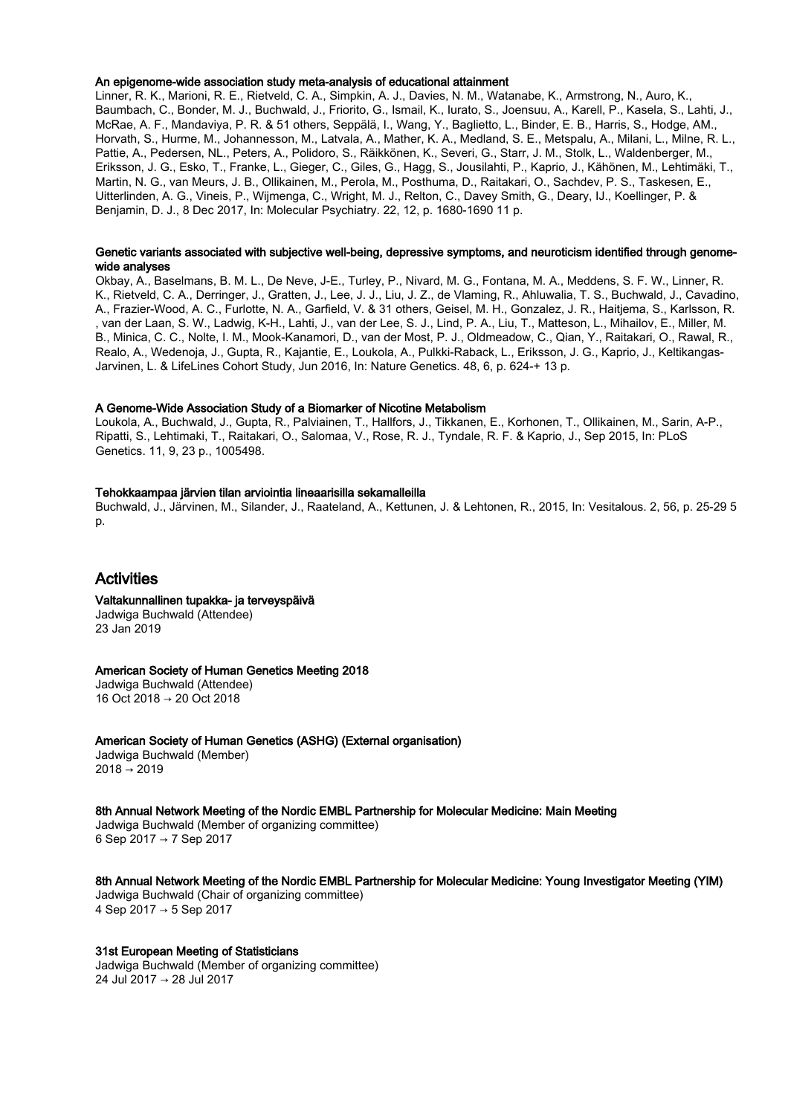### An epigenome-wide association study meta-analysis of educational attainment

Linner, R. K., Marioni, R. E., Rietveld, C. A., Simpkin, A. J., Davies, N. M., Watanabe, K., Armstrong, N., Auro, K., Baumbach, C., Bonder, M. J., Buchwald, J., Friorito, G., Ismail, K., Iurato, S., Joensuu, A., Karell, P., Kasela, S., Lahti, J., McRae, A. F., Mandaviya, P. R. & 51 others, Seppälä, I., Wang, Y., Baglietto, L., Binder, E. B., Harris, S., Hodge, AM., Horvath, S., Hurme, M., Johannesson, M., Latvala, A., Mather, K. A., Medland, S. E., Metspalu, A., Milani, L., Milne, R. L., Pattie, A., Pedersen, NL., Peters, A., Polidoro, S., Räikkönen, K., Severi, G., Starr, J. M., Stolk, L., Waldenberger, M., Eriksson, J. G., Esko, T., Franke, L., Gieger, C., Giles, G., Hagg, S., Jousilahti, P., Kaprio, J., Kähönen, M., Lehtimäki, T., Martin, N. G., van Meurs, J. B., Ollikainen, M., Perola, M., Posthuma, D., Raitakari, O., Sachdev, P. S., Taskesen, E., Uitterlinden, A. G., Vineis, P., Wijmenga, C., Wright, M. J., Relton, C., Davey Smith, G., Deary, IJ., Koellinger, P. & Benjamin, D. J., 8 Dec 2017, In: Molecular Psychiatry. 22, 12, p. 1680-1690 11 p.

### Genetic variants associated with subjective well-being, depressive symptoms, and neuroticism identified through genomewide analyses

Okbay, A., Baselmans, B. M. L., De Neve, J-E., Turley, P., Nivard, M. G., Fontana, M. A., Meddens, S. F. W., Linner, R. K., Rietveld, C. A., Derringer, J., Gratten, J., Lee, J. J., Liu, J. Z., de Vlaming, R., Ahluwalia, T. S., Buchwald, J., Cavadino, A., Frazier-Wood, A. C., Furlotte, N. A., Garfield, V. & 31 others, Geisel, M. H., Gonzalez, J. R., Haitjema, S., Karlsson, R. , van der Laan, S. W., Ladwig, K-H., Lahti, J., van der Lee, S. J., Lind, P. A., Liu, T., Matteson, L., Mihailov, E., Miller, M. B., Minica, C. C., Nolte, I. M., Mook-Kanamori, D., van der Most, P. J., Oldmeadow, C., Qian, Y., Raitakari, O., Rawal, R., Realo, A., Wedenoja, J., Gupta, R., Kajantie, E., Loukola, A., Pulkki-Raback, L., Eriksson, J. G., Kaprio, J., Keltikangas-Jarvinen, L. & LifeLines Cohort Study, Jun 2016, In: Nature Genetics. 48, 6, p. 624-+ 13 p.

### A Genome-Wide Association Study of a Biomarker of Nicotine Metabolism

Loukola, A., Buchwald, J., Gupta, R., Palviainen, T., Hallfors, J., Tikkanen, E., Korhonen, T., Ollikainen, M., Sarin, A-P., Ripatti, S., Lehtimaki, T., Raitakari, O., Salomaa, V., Rose, R. J., Tyndale, R. F. & Kaprio, J., Sep 2015, In: PLoS Genetics. 11, 9, 23 p., 1005498.

### Tehokkaampaa järvien tilan arviointia lineaarisilla sekamalleilla

Buchwald, J., Järvinen, M., Silander, J., Raateland, A., Kettunen, J. & Lehtonen, R., 2015, In: Vesitalous. 2, 56, p. 25-29 5 p.

## Activities

Valtakunnallinen tupakka- ja terveyspäivä Jadwiga Buchwald (Attendee) 23 Jan 2019

### American Society of Human Genetics Meeting 2018

Jadwiga Buchwald (Attendee) 16 Oct 2018 → 20 Oct 2018

American Society of Human Genetics (ASHG) (External organisation)

Jadwiga Buchwald (Member)  $2018 \to 2019$ 

8th Annual Network Meeting of the Nordic EMBL Partnership for Molecular Medicine: Main Meeting Jadwiga Buchwald (Member of organizing committee) 6 Sep 2017 → 7 Sep 2017

8th Annual Network Meeting of the Nordic EMBL Partnership for Molecular Medicine: Young Investigator Meeting (YIM) Jadwiga Buchwald (Chair of organizing committee) 4 Sep 2017 → 5 Sep 2017

### 31st European Meeting of Statisticians

Jadwiga Buchwald (Member of organizing committee) 24 Jul 2017 → 28 Jul 2017